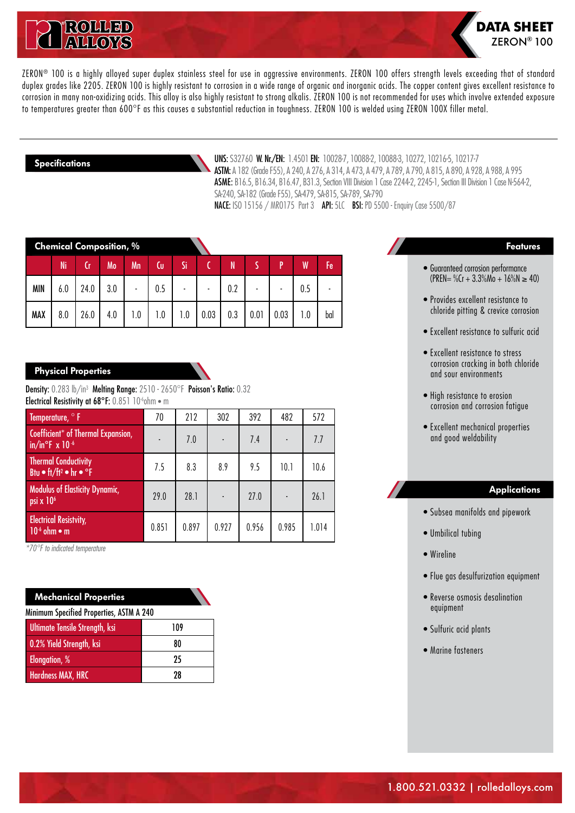



ZERON<sup>®</sup> 100 is a highly alloyed super duplex stainless steel for use in aggressive environments. ZERON 100 offers strength levels exceeding that of standard duplex grades like 2205. ZERON 100 is highly resistant to corrosion in a wide range of organic and inorganic acids. The copper content gives excellent resistance to corrosion in many non-oxidizing acids. This alloy is also highly resistant to strong alkalis. ZERON 100 is not recommended for uses which involve extended exposure to temperatures greater than 600°F as this causes a substantial reduction in toughness. ZERON 100 is welded using ZERON 100X filler metal.

#### **Specifications**

UNS: S32760 W. Nr./EN: 1.4501 EN: 10028-7, 10088-2, 10088-3, 10272, 10216-5, 10217-7 ASTM:A 182 (Grade F55), A 240, A 276, A 314, A 473, A 479, A 789, A 790, A 815, A 890, A 928, A 988, A 995 ASME: B16.5, B16.34, B16.47, B31.3, Section VIII Division 1 Case 2244-2, 2245-1, Section III Division 1 Case N-564-2, SA-240, SA-182 (Grade F55), SA-479, SA-815, SA-789, SA-790 NACE: ISO 15156 / MRO175 Part 3 API: 5LC BSI: PD 5500 - Enquiry Case 5500/87

| <b>Chemical Composition, %</b> |     |      |     |     |     |     |      |     |      |      |     |     |
|--------------------------------|-----|------|-----|-----|-----|-----|------|-----|------|------|-----|-----|
|                                | Ni  |      | Mo  | Mn  | Cυ  | Si  |      | N   |      | D    |     | Fe  |
| <b>MIN</b>                     | 6.0 | 24.0 | 3.0 |     | 0.5 |     |      | 0.2 |      |      | 0.5 |     |
| <b>MAX</b>                     | 8.0 | 26.0 | 4.0 | 1.0 | 1.0 | 1.0 | 0.03 | 0.3 | 0.01 | 0.03 | 1.0 | bal |

## **Physical Properties**

Density: 0.283 lb/in3 Melting Range: 2510 - 2650°F Poisson's Ratio: 0.32 Electrical Resistivity at 68°F: 0.851 10<sup>-6</sup>ohm · m

| Temperature, <sup>o</sup> F                                                               | 70    | 212   | 302   | 392   | 482            | 572   |
|-------------------------------------------------------------------------------------------|-------|-------|-------|-------|----------------|-------|
| Coefficient* of Thermal Expansion,<br>$in/in^{\circ}F \times 10^{-6}$                     | ٠     | 7.0   |       | 7.4   | $\blacksquare$ | 7.7   |
| <b>Thermal Conductivity</b><br>Btu $\bullet$ ft/ft <sup>2</sup> $\bullet$ hr $\bullet$ °F | 7.5   | 8.3   | 8.9   | 9.5   | 10.1           | 10.6  |
| <b>Modulus of Elasticity Dynamic,</b><br>psi x 10 <sup>6</sup>                            | 29.0  | 28.1  |       | 27.0  |                | 26.1  |
| <b>Electrical Resistvity,</b><br>$106$ ohm $\bullet$ m                                    | 0.851 | 0.897 | 0.927 | 0.956 | 0.985          | 1.014 |

*\*70°F to indicated temperature*

| <b>Mechanical Properties</b>             |     |  |  |  |  |  |
|------------------------------------------|-----|--|--|--|--|--|
| Minimum Specified Properties, ASTM A 240 |     |  |  |  |  |  |
| Ultimate Tensile Strength, ksi           | 109 |  |  |  |  |  |
| 0.2% Yield Strength, ksi                 | 80  |  |  |  |  |  |
| Elongation, %                            | 25  |  |  |  |  |  |
| <b>Hardness MAX, HRC</b>                 | 28  |  |  |  |  |  |

#### **Features**

- Guaranteed corrosion performance  $(PREN = %Cr + 3.3%Mo + 16%N \ge 40)$
- Provides excellent resistance to chloride pitting & crevice corrosion
- Excellent resistance to sulfuric acid
- Excellent resistance to stress corrosion cracking in both chloride and sour environments
- High resistance to erosion corrosion and corrosion fatigue
- Excellent mechanical properties and good weldability

#### **Applications**

- Subsea manifolds and pipework
- Umbilical tubing
- Wireline
- Flue gas desulfurization equipment
- Reverse osmosis desalination equipment
- Sulfuric acid plants
- Marine fasteners